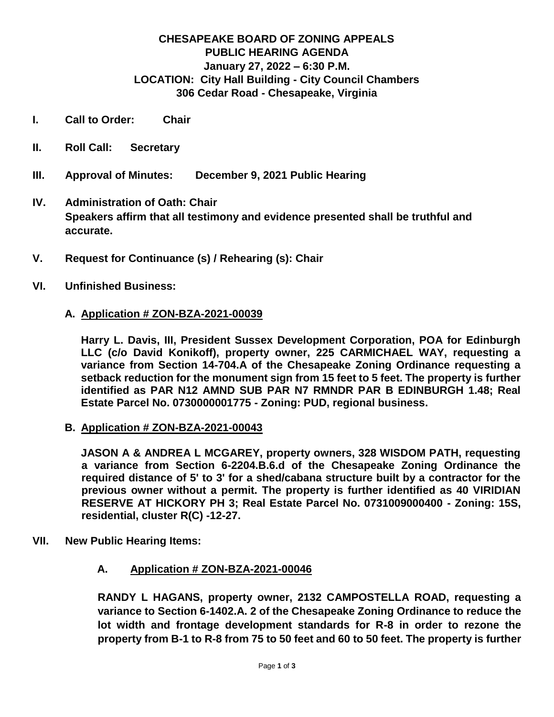#### **CHESAPEAKE BOARD OF ZONING APPEALS PUBLIC HEARING AGENDA January 27, 2022 – 6:30 P.M. LOCATION: City Hall Building - City Council Chambers 306 Cedar Road - Chesapeake, Virginia**

- **I. Call to Order: Chair**
- **II. Roll Call: Secretary**
- **III. Approval of Minutes: December 9, 2021 Public Hearing**
- **IV. Administration of Oath: Chair Speakers affirm that all testimony and evidence presented shall be truthful and accurate.**
- **V. Request for Continuance (s) / Rehearing (s): Chair**
- **VI. Unfinished Business:**

#### **A. Application # ZON-BZA-2021-00039**

**Harry L. Davis, III, President Sussex Development Corporation, POA for Edinburgh LLC (c/o David Konikoff), property owner, 225 CARMICHAEL WAY, requesting a variance from Section 14-704.A of the Chesapeake Zoning Ordinance requesting a setback reduction for the monument sign from 15 feet to 5 feet. The property is further identified as PAR N12 AMND SUB PAR N7 RMNDR PAR B EDINBURGH 1.48; Real Estate Parcel No. 0730000001775 - Zoning: PUD, regional business.**

**B. Application # ZON-BZA-2021-00043**

**JASON A & ANDREA L MCGAREY, property owners, 328 WISDOM PATH, requesting a variance from Section 6-2204.B.6.d of the Chesapeake Zoning Ordinance the required distance of 5' to 3' for a shed/cabana structure built by a contractor for the previous owner without a permit. The property is further identified as 40 VIRIDIAN RESERVE AT HICKORY PH 3; Real Estate Parcel No. 0731009000400 - Zoning: 15S, residential, cluster R(C) -12-27.**

- **VII. New Public Hearing Items:**
	- **A. Application # ZON-BZA-2021-00046**

**RANDY L HAGANS, property owner, 2132 CAMPOSTELLA ROAD, requesting a variance to Section 6-1402.A. 2 of the Chesapeake Zoning Ordinance to reduce the lot width and frontage development standards for R-8 in order to rezone the property from B-1 to R-8 from 75 to 50 feet and 60 to 50 feet. The property is further**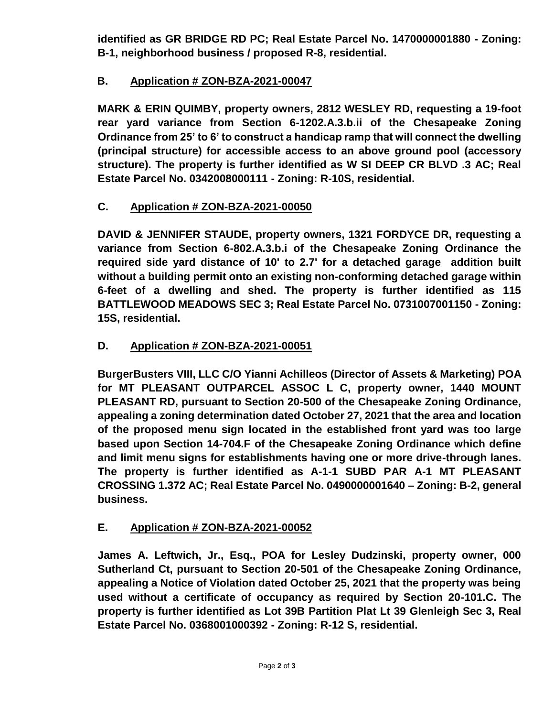**identified as GR BRIDGE RD PC; Real Estate Parcel No. 1470000001880 - Zoning: B-1, neighborhood business / proposed R-8, residential.**

# **B. Application # ZON-BZA-2021-00047**

**MARK & ERIN QUIMBY, property owners, 2812 WESLEY RD, requesting a 19-foot rear yard variance from Section 6-1202.A.3.b.ii of the Chesapeake Zoning Ordinance from 25' to 6' to construct a handicap ramp that will connect the dwelling (principal structure) for accessible access to an above ground pool (accessory structure). The property is further identified as W SI DEEP CR BLVD .3 AC; Real Estate Parcel No. 0342008000111 - Zoning: R-10S, residential.**

## **C. Application # ZON-BZA-2021-00050**

**DAVID & JENNIFER STAUDE, property owners, 1321 FORDYCE DR, requesting a variance from Section 6-802.A.3.b.i of the Chesapeake Zoning Ordinance the required side yard distance of 10' to 2.7' for a detached garage addition built without a building permit onto an existing non-conforming detached garage within 6-feet of a dwelling and shed. The property is further identified as 115 BATTLEWOOD MEADOWS SEC 3; Real Estate Parcel No. 0731007001150 - Zoning: 15S, residential.**

## **D. Application # ZON-BZA-2021-00051**

**BurgerBusters VIII, LLC C/O Yianni Achilleos (Director of Assets & Marketing) POA for MT PLEASANT OUTPARCEL ASSOC L C, property owner, 1440 MOUNT PLEASANT RD, pursuant to Section 20-500 of the Chesapeake Zoning Ordinance, appealing a zoning determination dated October 27, 2021 that the area and location of the proposed menu sign located in the established front yard was too large based upon Section 14-704.F of the Chesapeake Zoning Ordinance which define and limit menu signs for establishments having one or more drive-through lanes. The property is further identified as A-1-1 SUBD PAR A-1 MT PLEASANT CROSSING 1.372 AC; Real Estate Parcel No. 0490000001640 – Zoning: B-2, general business.**

## **E. Application # ZON-BZA-2021-00052**

**James A. Leftwich, Jr., Esq., POA for Lesley Dudzinski, property owner, 000 Sutherland Ct, pursuant to Section 20-501 of the Chesapeake Zoning Ordinance, appealing a Notice of Violation dated October 25, 2021 that the property was being used without a certificate of occupancy as required by Section 20-101.C. The property is further identified as Lot 39B Partition Plat Lt 39 Glenleigh Sec 3, Real Estate Parcel No. 0368001000392 - Zoning: R-12 S, residential.**